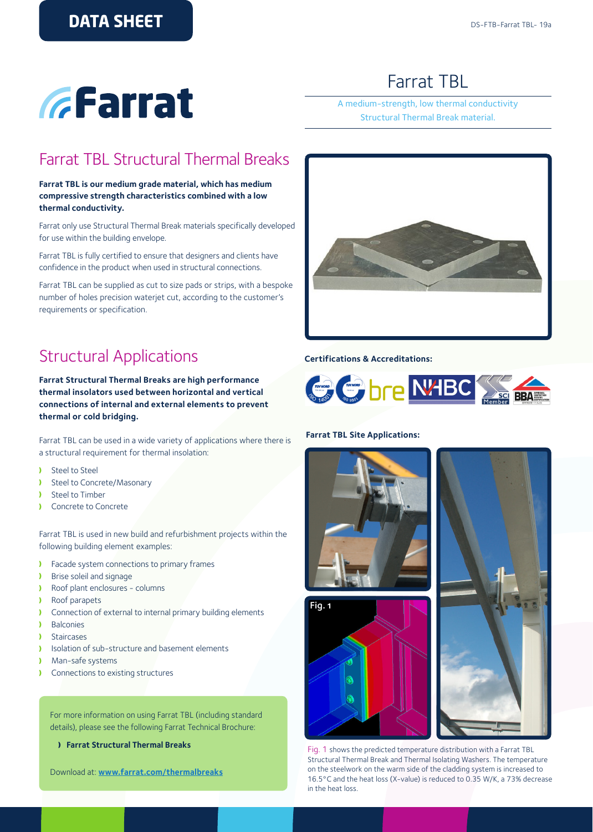**EFarrat** 

# Farrat TBL

### A medium-strength, low thermal conductivity Structural Thermal Break material.

### Farrat TBL Structural Thermal Breaks

### **Farrat TBL is our medium grade material, which has medium compressive strength characteristics combined with a low thermal conductivity.**

Farrat only use Structural Thermal Break materials specifically developed for use within the building envelope.

Farrat TBL is fully certified to ensure that designers and clients have confidence in the product when used in structural connections.

Farrat TBL can be supplied as cut to size pads or strips, with a bespoke number of holes precision waterjet cut, according to the customer's requirements or specification.

## Structural Applications

**Farrat Structural Thermal Breaks are high performance thermal insolators used between horizontal and vertical connections of internal and external elements to prevent thermal or cold bridging.** 

Farrat TBL can be used in a wide variety of applications where there is a structural requirement for thermal insolation:

- Steel to Steel Y
- Steel to Concrete/Masonary  $\lambda$
- Steel to Timber  $\mathbf{A}$
- Concrete to Concrete ¥

Farrat TBL is used in new build and refurbishment projects within the following building element examples:

- Facade system connections to primary frames  $\mathbf{L}$
- Brise soleil and signage  $\lambda$
- Y Roof plant enclosures - columns
- Roof parapets x
- Connection of external to internal primary building elements Y
- **Balconies**
- Staircases  $\mathbf{v}$
- Y Isolation of sub-structure and basement elements
- Man-safe systems Y
- Connections to existing structures

For more information on using Farrat TBL (including standard details), please see the following Farrat Technical Brochure:

**Farrat Structural Thermal Breaks**

Download at: **[www.farrat.com/](http://www.farrat.com/downloads.html)thermalbreaks**



### **Certifications & Accreditations:**



#### **Farrat TBL Site Applications:**



Fig. 1 shows the predicted temperature distribution with a Farrat TBL Structural Thermal Break and Thermal Isolating Washers. The temperature on the steelwork on the warm side of the cladding system is increased to 16.5°C and the heat loss (X-value) is reduced to 0.35 W/K, a 73% decrease in the heat loss.